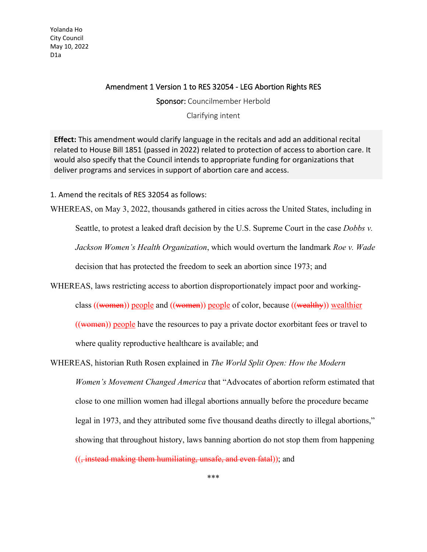Yolanda Ho City Council May 10, 2022 D1a

## Amendment 1 Version 1 to RES 32054 - LEG Abortion Rights RES

Sponsor: Councilmember Herbold

Clarifying intent

**Effect:** This amendment would clarify language in the recitals and add an additional recital related to House Bill 1851 (passed in 2022) related to protection of access to abortion care. It would also specify that the Council intends to appropriate funding for organizations that deliver programs and services in support of abortion care and access.

1. Amend the recitals of RES 32054 as follows:

WHEREAS, on May 3, 2022, thousands gathered in cities across the United States, including in

Seattle, to protest a leaked draft decision by the U.S. Supreme Court in the case *Dobbs v.* 

*Jackson Women's Health Organization*, which would overturn the landmark *Roe v. Wade*

decision that has protected the freedom to seek an abortion since 1973; and

WHEREAS, laws restricting access to abortion disproportionately impact poor and working-

class ((women)) people and ((women)) people of color, because ((wealthy)) wealthier

((women)) people have the resources to pay a private doctor exorbitant fees or travel to

where quality reproductive healthcare is available; and

WHEREAS, historian Ruth Rosen explained in *The World Split Open: How the Modern Women's Movement Changed America* that "Advocates of abortion reform estimated that close to one million women had illegal abortions annually before the procedure became legal in 1973, and they attributed some five thousand deaths directly to illegal abortions," showing that throughout history, laws banning abortion do not stop them from happening ((, instead making them humiliating, unsafe, and even fatal)); and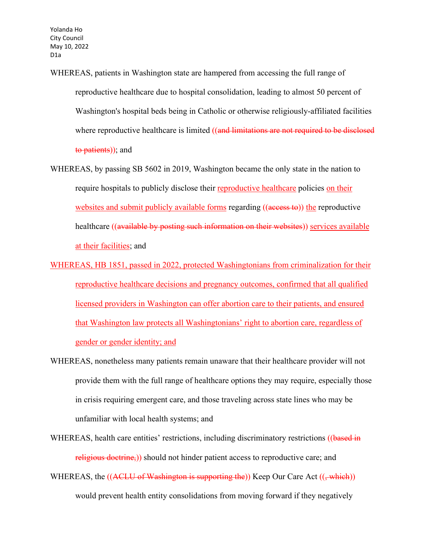Yolanda Ho City Council May 10, 2022 D1a

- WHEREAS, patients in Washington state are hampered from accessing the full range of reproductive healthcare due to hospital consolidation, leading to almost 50 percent of Washington's hospital beds being in Catholic or otherwise religiously-affiliated facilities where reproductive healthcare is limited ((and limitations are not required to be disclosed to patients)); and
- WHEREAS, by passing SB 5602 in 2019, Washington became the only state in the nation to require hospitals to publicly disclose their reproductive healthcare policies on their websites and submit publicly available forms regarding ((access to)) the reproductive healthcare ((available by posting such information on their websites)) services available at their facilities; and
- WHEREAS, HB 1851, passed in 2022, protected Washingtonians from criminalization for their reproductive healthcare decisions and pregnancy outcomes, confirmed that all qualified licensed providers in Washington can offer abortion care to their patients, and ensured that Washington law protects all Washingtonians' right to abortion care, regardless of gender or gender identity; and
- WHEREAS, nonetheless many patients remain unaware that their healthcare provider will not provide them with the full range of healthcare options they may require, especially those in crisis requiring emergent care, and those traveling across state lines who may be unfamiliar with local health systems; and
- WHEREAS, health care entities' restrictions, including discriminatory restrictions ((based in religious doctrine,)) should not hinder patient access to reproductive care; and
- WHEREAS, the ((ACLU of Washington is supporting the)) Keep Our Care Act ((, which)) would prevent health entity consolidations from moving forward if they negatively